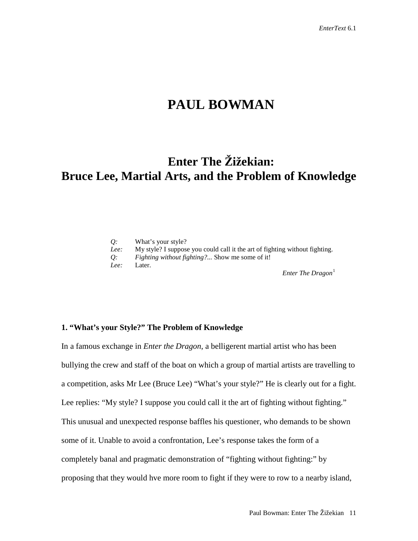## **PAUL BOWMAN**

# **Enter The Žižekian: Bruce Lee, Martial Arts, and the Problem of Knowledge**

| Q:   | What's your style?                                                          |
|------|-----------------------------------------------------------------------------|
| Lee: | My style? I suppose you could call it the art of fighting without fighting. |
| Q:   | <i>Fighting without fighting? Show me some of it!</i>                       |
| Lee: | Later.                                                                      |
|      |                                                                             |

*Enter The Dragon*<sup>[1](#page-26-0)</sup>

#### **1. "What's your Style?" The Problem of Knowledge**

In a famous exchange in *Enter the Dragon*, a belligerent martial artist who has been bullying the crew and staff of the boat on which a group of martial artists are travelling to a competition, asks Mr Lee (Bruce Lee) "What's your style?" He is clearly out for a fight. Lee replies: "My style? I suppose you could call it the art of fighting without fighting." This unusual and unexpected response baffles his questioner, who demands to be shown some of it. Unable to avoid a confrontation, Lee's response takes the form of a completely banal and pragmatic demonstration of "fighting without fighting:" by proposing that they would hve more room to fight if they were to row to a nearby island,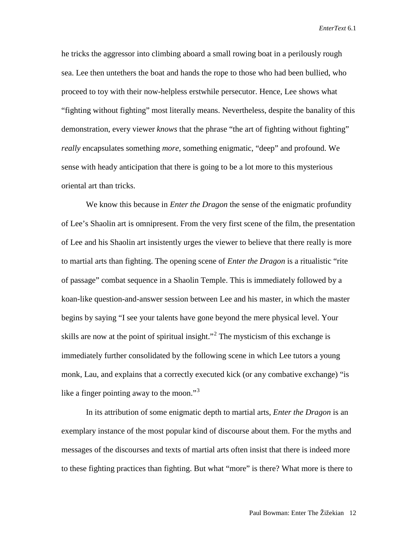he tricks the aggressor into climbing aboard a small rowing boat in a perilously rough sea. Lee then untethers the boat and hands the rope to those who had been bullied, who proceed to toy with their now-helpless erstwhile persecutor. Hence, Lee shows what "fighting without fighting" most literally means. Nevertheless, despite the banality of this demonstration, every viewer *knows* that the phrase "the art of fighting without fighting" *really* encapsulates something *more*, something enigmatic, "deep" and profound. We sense with heady anticipation that there is going to be a lot more to this mysterious oriental art than tricks.

We know this because in *Enter the Dragon* the sense of the enigmatic profundity of Lee's Shaolin art is omnipresent. From the very first scene of the film, the presentation of Lee and his Shaolin art insistently urges the viewer to believe that there really is more to martial arts than fighting. The opening scene of *Enter the Dragon* is a ritualistic "rite of passage" combat sequence in a Shaolin Temple. This is immediately followed by a koan-like question-and-answer session between Lee and his master, in which the master begins by saying "I see your talents have gone beyond the mere physical level. Your skills are now at the point of spiritual insight."<sup>[2](#page-26-1)</sup> The mysticism of this exchange is immediately further consolidated by the following scene in which Lee tutors a young monk, Lau, and explains that a correctly executed kick (or any combative exchange) "is like a finger pointing away to the moon."<sup>[3](#page-26-2)</sup>

In its attribution of some enigmatic depth to martial arts, *Enter the Dragon* is an exemplary instance of the most popular kind of discourse about them. For the myths and messages of the discourses and texts of martial arts often insist that there is indeed more to these fighting practices than fighting. But what "more" is there? What more is there to

Paul Bowman: Enter The Žižekian 12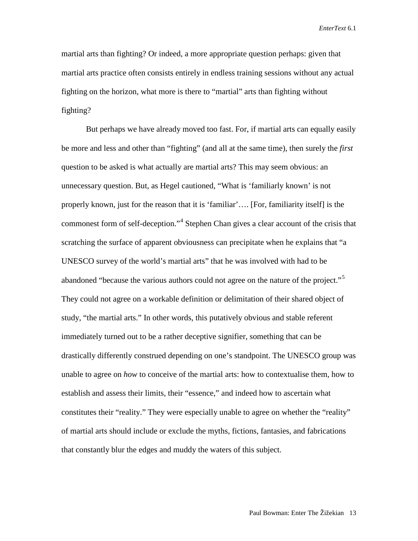martial arts than fighting? Or indeed, a more appropriate question perhaps: given that martial arts practice often consists entirely in endless training sessions without any actual fighting on the horizon, what more is there to "martial" arts than fighting without fighting?

But perhaps we have already moved too fast. For, if martial arts can equally easily be more and less and other than "fighting" (and all at the same time), then surely the *first* question to be asked is what actually are martial arts? This may seem obvious: an unnecessary question. But, as Hegel cautioned, "What is 'familiarly known' is not properly known, just for the reason that it is 'familiar'…. [For, familiarity itself] is the commonest form of self-deception."[4](#page-27-0) Stephen Chan gives a clear account of the crisis that scratching the surface of apparent obviousness can precipitate when he explains that "a UNESCO survey of the world's martial arts" that he was involved with had to be abandoned "because the various authors could not agree on the nature of the project."<sup>[5](#page-27-1)</sup> They could not agree on a workable definition or delimitation of their shared object of study, "the martial arts." In other words, this putatively obvious and stable referent immediately turned out to be a rather deceptive signifier, something that can be drastically differently construed depending on one's standpoint. The UNESCO group was unable to agree on *how* to conceive of the martial arts: how to contextualise them, how to establish and assess their limits, their "essence," and indeed how to ascertain what constitutes their "reality." They were especially unable to agree on whether the "reality" of martial arts should include or exclude the myths, fictions, fantasies, and fabrications that constantly blur the edges and muddy the waters of this subject.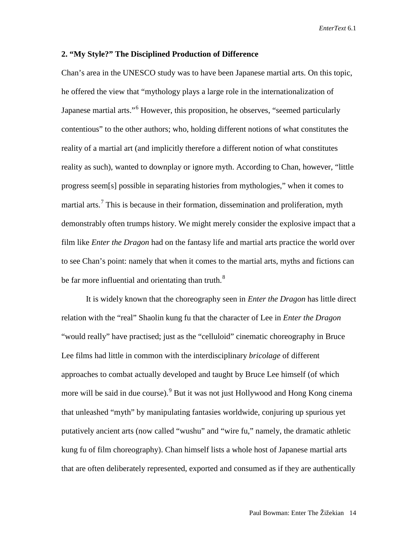### **2. "My Style?" The Disciplined Production of Difference**

Chan's area in the UNESCO study was to have been Japanese martial arts. On this topic, he offered the view that "mythology plays a large role in the internationalization of Japanese martial arts."<sup>[6](#page-28-0)</sup> However, this proposition, he observes, "seemed particularly contentious" to the other authors; who, holding different notions of what constitutes the reality of a martial art (and implicitly therefore a different notion of what constitutes reality as such), wanted to downplay or ignore myth. According to Chan, however, "little progress seem[s] possible in separating histories from mythologies," when it comes to martial arts.<sup>[7](#page-28-1)</sup> This is because in their formation, dissemination and proliferation, myth demonstrably often trumps history. We might merely consider the explosive impact that a film like *Enter the Dragon* had on the fantasy life and martial arts practice the world over to see Chan's point: namely that when it comes to the martial arts, myths and fictions can be far more influential and orientating than truth.<sup>[8](#page-28-2)</sup>

It is widely known that the choreography seen in *Enter the Dragon* has little direct relation with the "real" Shaolin kung fu that the character of Lee in *Enter the Dragon* "would really" have practised; just as the "celluloid" cinematic choreography in Bruce Lee films had little in common with the interdisciplinary *bricolage* of different approaches to combat actually developed and taught by Bruce Lee himself (of which more will be said in due course). <sup>[9](#page-28-3)</sup> But it was not just Hollywood and Hong Kong cinema that unleashed "myth" by manipulating fantasies worldwide, conjuring up spurious yet putatively ancient arts (now called "wushu" and "wire fu," namely, the dramatic athletic kung fu of film choreography). Chan himself lists a whole host of Japanese martial arts that are often deliberately represented, exported and consumed as if they are authentically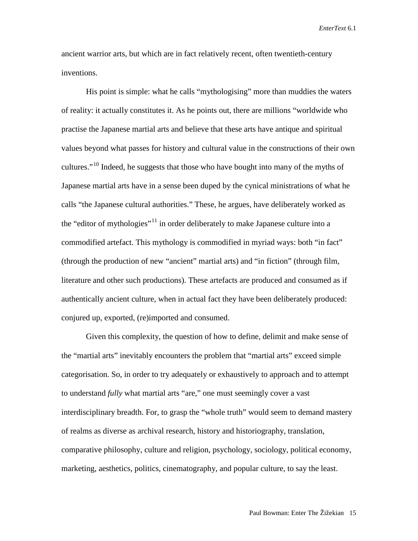ancient warrior arts, but which are in fact relatively recent, often twentieth-century inventions.

His point is simple: what he calls "mythologising" more than muddies the waters of reality: it actually constitutes it. As he points out, there are millions "worldwide who practise the Japanese martial arts and believe that these arts have antique and spiritual values beyond what passes for history and cultural value in the constructions of their own cultures."[10](#page-28-4) Indeed, he suggests that those who have bought into many of the myths of Japanese martial arts have in a sense been duped by the cynical ministrations of what he calls "the Japanese cultural authorities." These, he argues, have deliberately worked as the "editor of mythologies"<sup>[11](#page-28-5)</sup> in order deliberately to make Japanese culture into a commodified artefact. This mythology is commodified in myriad ways: both "in fact" (through the production of new "ancient" martial arts) and "in fiction" (through film, literature and other such productions). These artefacts are produced and consumed as if authentically ancient culture, when in actual fact they have been deliberately produced: conjured up, exported, (re)imported and consumed.

Given this complexity, the question of how to define, delimit and make sense of the "martial arts" inevitably encounters the problem that "martial arts" exceed simple categorisation. So, in order to try adequately or exhaustively to approach and to attempt to understand *fully* what martial arts "are," one must seemingly cover a vast interdisciplinary breadth. For, to grasp the "whole truth" would seem to demand mastery of realms as diverse as archival research, history and historiography, translation, comparative philosophy, culture and religion, psychology, sociology, political economy, marketing, aesthetics, politics, cinematography, and popular culture, to say the least.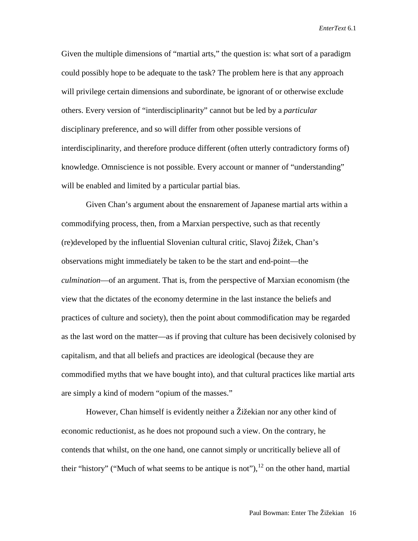Given the multiple dimensions of "martial arts," the question is: what sort of a paradigm could possibly hope to be adequate to the task? The problem here is that any approach will privilege certain dimensions and subordinate, be ignorant of or otherwise exclude others. Every version of "interdisciplinarity" cannot but be led by a *particular* disciplinary preference, and so will differ from other possible versions of interdisciplinarity, and therefore produce different (often utterly contradictory forms of) knowledge. Omniscience is not possible. Every account or manner of "understanding" will be enabled and limited by a particular partial bias.

Given Chan's argument about the ensnarement of Japanese martial arts within a commodifying process, then, from a Marxian perspective, such as that recently (re)developed by the influential Slovenian cultural critic, Slavoj Žižek, Chan's observations might immediately be taken to be the start and end-point—the *culmination*—of an argument. That is, from the perspective of Marxian economism (the view that the dictates of the economy determine in the last instance the beliefs and practices of culture and society), then the point about commodification may be regarded as the last word on the matter—as if proving that culture has been decisively colonised by capitalism, and that all beliefs and practices are ideological (because they are commodified myths that we have bought into), and that cultural practices like martial arts are simply a kind of modern "opium of the masses."

However, Chan himself is evidently neither a Žižekian nor any other kind of economic reductionist, as he does not propound such a view. On the contrary, he contends that whilst, on the one hand, one cannot simply or uncritically believe all of their "history" ("Much of what seems to be antique is not"),  $^{12}$  $^{12}$  $^{12}$  on the other hand, martial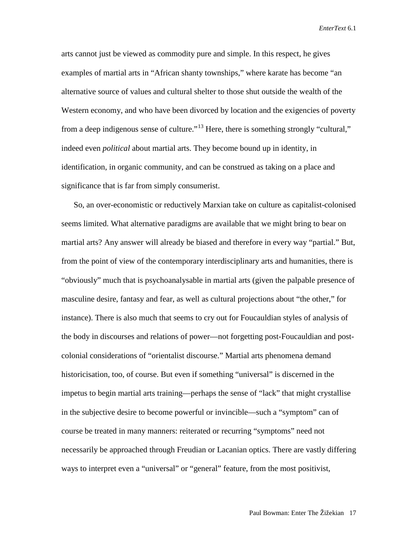arts cannot just be viewed as commodity pure and simple. In this respect, he gives examples of martial arts in "African shanty townships," where karate has become "an alternative source of values and cultural shelter to those shut outside the wealth of the Western economy, and who have been divorced by location and the exigencies of poverty from a deep indigenous sense of culture."<sup>[13](#page-28-7)</sup> Here, there is something strongly "cultural," indeed even *political* about martial arts. They become bound up in identity, in identification, in organic community, and can be construed as taking on a place and significance that is far from simply consumerist.

So, an over-economistic or reductively Marxian take on culture as capitalist-colonised seems limited. What alternative paradigms are available that we might bring to bear on martial arts? Any answer will already be biased and therefore in every way "partial." But, from the point of view of the contemporary interdisciplinary arts and humanities, there is "obviously" much that is psychoanalysable in martial arts (given the palpable presence of masculine desire, fantasy and fear, as well as cultural projections about "the other," for instance). There is also much that seems to cry out for Foucauldian styles of analysis of the body in discourses and relations of power—not forgetting post-Foucauldian and postcolonial considerations of "orientalist discourse." Martial arts phenomena demand historicisation, too, of course. But even if something "universal" is discerned in the impetus to begin martial arts training—perhaps the sense of "lack" that might crystallise in the subjective desire to become powerful or invincible—such a "symptom" can of course be treated in many manners: reiterated or recurring "symptoms" need not necessarily be approached through Freudian or Lacanian optics. There are vastly differing ways to interpret even a "universal" or "general" feature, from the most positivist,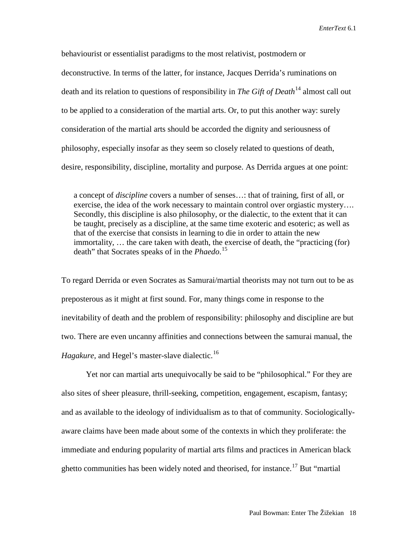behaviourist or essentialist paradigms to the most relativist, postmodern or deconstructive. In terms of the latter, for instance, Jacques Derrida's ruminations on death and its relation to questions of responsibility in *The Gift of Death*<sup>[14](#page-28-8)</sup> almost call out to be applied to a consideration of the martial arts. Or, to put this another way: surely consideration of the martial arts should be accorded the dignity and seriousness of philosophy, especially insofar as they seem so closely related to questions of death, desire, responsibility, discipline, mortality and purpose. As Derrida argues at one point:

a concept of *discipline* covers a number of senses…: that of training, first of all, or exercise, the idea of the work necessary to maintain control over orgiastic mystery…. Secondly, this discipline is also philosophy, or the dialectic, to the extent that it can be taught, precisely as a discipline, at the same time exoteric and esoteric; as well as that of the exercise that consists in learning to die in order to attain the new immortality, … the care taken with death, the exercise of death, the "practicing (for) death" that Socrates speaks of in the *Phaedo*. [15](#page-28-9)

To regard Derrida or even Socrates as Samurai/martial theorists may not turn out to be as preposterous as it might at first sound. For, many things come in response to the inevitability of death and the problem of responsibility: philosophy and discipline are but two. There are even uncanny affinities and connections between the samurai manual, the *Hagakure*, and Hegel's master-slave dialectic.<sup>[16](#page-28-10)</sup>

Yet nor can martial arts unequivocally be said to be "philosophical." For they are also sites of sheer pleasure, thrill-seeking, competition, engagement, escapism, fantasy; and as available to the ideology of individualism as to that of community. Sociologicallyaware claims have been made about some of the contexts in which they proliferate: the immediate and enduring popularity of martial arts films and practices in American black ghetto communities has been widely noted and theorised, for instance.<sup>[17](#page-28-11)</sup> But "martial"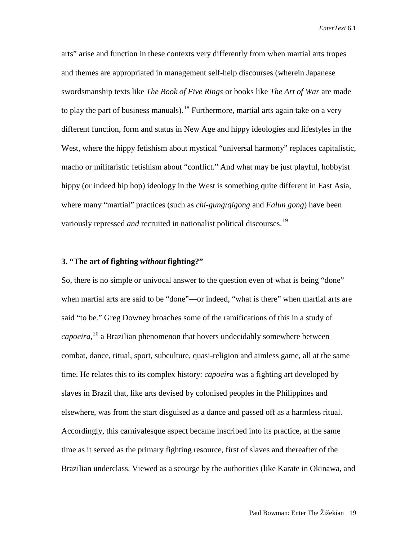arts" arise and function in these contexts very differently from when martial arts tropes and themes are appropriated in management self-help discourses (wherein Japanese swordsmanship texts like *The Book of Five Rings* or books like *The Art of War* are made to play the part of business manuals).<sup>[18](#page-28-12)</sup> Furthermore, martial arts again take on a very different function, form and status in New Age and hippy ideologies and lifestyles in the West, where the hippy fetishism about mystical "universal harmony" replaces capitalistic, macho or militaristic fetishism about "conflict." And what may be just playful, hobbyist hippy (or indeed hip hop) ideology in the West is something quite different in East Asia, where many "martial" practices (such as *chi-gung*/*qigong* and *Falun gong*) have been variously repressed *and* recruited in nationalist political discourses.<sup>[19](#page-28-13)</sup>

### **3. "The art of fighting** *without* **fighting?"**

So, there is no simple or univocal answer to the question even of what is being "done" when martial arts are said to be "done"—or indeed, "what is there" when martial arts are said "to be." Greg Downey broaches some of the ramifications of this in a study of *capoeira*, [20](#page-28-14) a Brazilian phenomenon that hovers undecidably somewhere between combat, dance, ritual, sport, subculture, quasi-religion and aimless game, all at the same time. He relates this to its complex history: *capoeira* was a fighting art developed by slaves in Brazil that, like arts devised by colonised peoples in the Philippines and elsewhere, was from the start disguised as a dance and passed off as a harmless ritual. Accordingly, this carnivalesque aspect became inscribed into its practice, at the same time as it served as the primary fighting resource, first of slaves and thereafter of the Brazilian underclass. Viewed as a scourge by the authorities (like Karate in Okinawa, and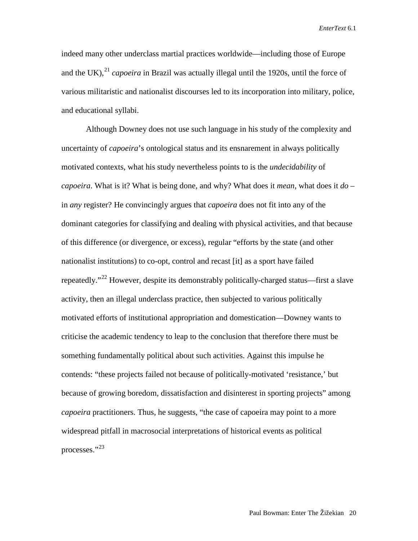indeed many other underclass martial practices worldwide—including those of Europe and the UK),  $^{21}$  $^{21}$  $^{21}$  *capoeira* in Brazil was actually illegal until the 1920s, until the force of various militaristic and nationalist discourses led to its incorporation into military, police, and educational syllabi.

Although Downey does not use such language in his study of the complexity and uncertainty of *capoeira*'s ontological status and its ensnarement in always politically motivated contexts, what his study nevertheless points to is the *undecidability* of *capoeira*. What is it? What is being done, and why? What does it *mean*, what does it *do* – in *any* register? He convincingly argues that *capoeira* does not fit into any of the dominant categories for classifying and dealing with physical activities, and that because of this difference (or divergence, or excess), regular "efforts by the state (and other nationalist institutions) to co-opt, control and recast [it] as a sport have failed repeatedly."<sup>[22](#page-28-16)</sup> However, despite its demonstrably politically-charged status—first a slave activity, then an illegal underclass practice, then subjected to various politically motivated efforts of institutional appropriation and domestication—Downey wants to criticise the academic tendency to leap to the conclusion that therefore there must be something fundamentally political about such activities. Against this impulse he contends: "these projects failed not because of politically-motivated 'resistance,' but because of growing boredom, dissatisfaction and disinterest in sporting projects" among *capoeira* practitioners. Thus, he suggests, "the case of capoeira may point to a more widespread pitfall in macrosocial interpretations of historical events as political processes."[23](#page-28-17)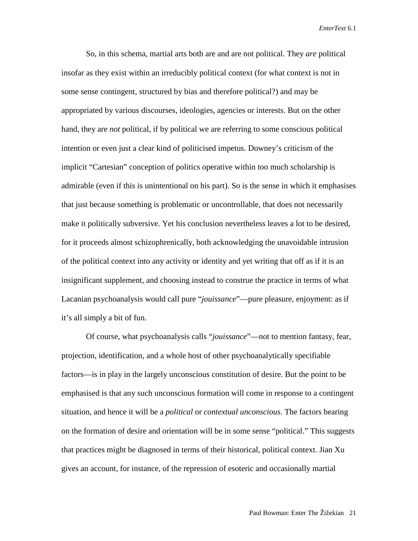So, in this schema, martial arts both are and are not political. They *are* political insofar as they exist within an irreducibly political context (for what context is not in some sense contingent, structured by bias and therefore political?) and may be appropriated by various discourses, ideologies, agencies or interests. But on the other hand, they are *not* political, if by political we are referring to some conscious political intention or even just a clear kind of politicised impetus. Downey's criticism of the implicit "Cartesian" conception of politics operative within too much scholarship is admirable (even if this is unintentional on his part). So is the sense in which it emphasises that just because something is problematic or uncontrollable, that does not necessarily make it politically subversive. Yet his conclusion nevertheless leaves a lot to be desired, for it proceeds almost schizophrenically, both acknowledging the unavoidable intrusion of the political context into any activity or identity and yet writing that off as if it is an insignificant supplement, and choosing instead to construe the practice in terms of what Lacanian psychoanalysis would call pure "*jouissance*"—pure pleasure, enjoyment: as if it's all simply a bit of fun.

Of course, what psychoanalysis calls "*jouissance*"—not to mention fantasy, fear, projection, identification, and a whole host of other psychoanalytically specifiable factors—is in play in the largely unconscious constitution of desire. But the point to be emphasised is that any such unconscious formation will come in response to a contingent situation, and hence it will be a *political* or *contextual unconscious*. The factors bearing on the formation of desire and orientation will be in some sense "political." This suggests that practices might be diagnosed in terms of their historical, political context. Jian Xu gives an account, for instance, of the repression of esoteric and occasionally martial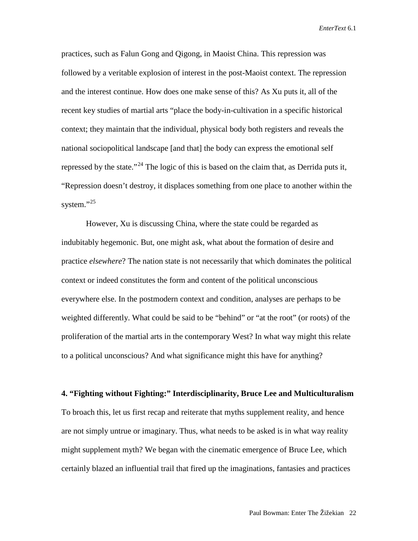practices, such as Falun Gong and Qigong, in Maoist China. This repression was followed by a veritable explosion of interest in the post-Maoist context. The repression and the interest continue. How does one make sense of this? As Xu puts it, all of the recent key studies of martial arts "place the body-in-cultivation in a specific historical context; they maintain that the individual, physical body both registers and reveals the national sociopolitical landscape [and that] the body can express the emotional self repressed by the state."<sup>[24](#page-28-18)</sup> The logic of this is based on the claim that, as Derrida puts it, "Repression doesn't destroy, it displaces something from one place to another within the system."<sup>[25](#page-28-19)</sup>

However, Xu is discussing China, where the state could be regarded as indubitably hegemonic. But, one might ask, what about the formation of desire and practice *elsewhere*? The nation state is not necessarily that which dominates the political context or indeed constitutes the form and content of the political unconscious everywhere else. In the postmodern context and condition, analyses are perhaps to be weighted differently. What could be said to be "behind" or "at the root" (or roots) of the proliferation of the martial arts in the contemporary West? In what way might this relate to a political unconscious? And what significance might this have for anything?

**4. "Fighting without Fighting:" Interdisciplinarity, Bruce Lee and Multiculturalism**

To broach this, let us first recap and reiterate that myths supplement reality, and hence are not simply untrue or imaginary. Thus, what needs to be asked is in what way reality might supplement myth? We began with the cinematic emergence of Bruce Lee, which certainly blazed an influential trail that fired up the imaginations, fantasies and practices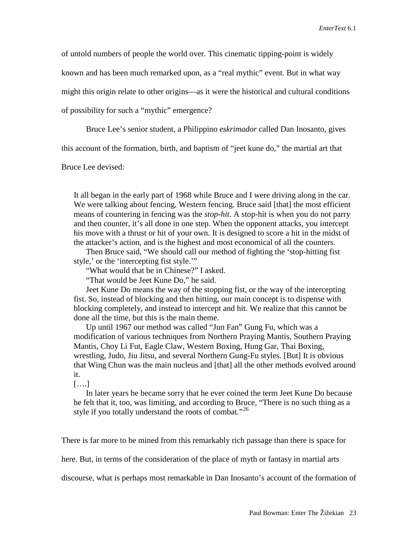of untold numbers of people the world over. This cinematic tipping-point is widely

known and has been much remarked upon, as a "real mythic" event. But in what way

might this origin relate to other origins—as it were the historical and cultural conditions

of possibility for such a "mythic" emergence?

Bruce Lee's senior student, a Philippino *eskrimador* called Dan Inosanto, gives

this account of the formation, birth, and baptism of "jeet kune do," the martial art that

Bruce Lee devised:

It all began in the early part of 1968 while Bruce and I were driving along in the car. We were talking about fencing, Western fencing. Bruce said [that] the most efficient means of countering in fencing was the *stop-hit*. A stop-hit is when you do not parry and then counter, it's all done in one step. When the opponent attacks, you intercept his move with a thrust or hit of your own. It is designed to score a hit in the midst of the attacker's action, and is the highest and most economical of all the counters.

Then Bruce said, "We should call our method of fighting the 'stop-hitting fist style,' or the 'intercepting fist style.'"

"What would that be in Chinese?" I asked.

"That would be Jeet Kune Do," he said.

Jeet Kune Do means the way of the stopping fist, or the way of the intercepting fist. So, instead of blocking and then hitting, our main concept is to dispense with blocking completely, and instead to intercept and hit. We realize that this cannot be done all the time, but this is the main theme.

Up until 1967 our method was called "Jun Fan" Gung Fu, which was a modification of various techniques from Northern Praying Mantis, Southern Praying Mantis, Choy Li Fut, Eagle Claw, Western Boxing, Hung Gar, Thai Boxing, wrestling, Judo, Jiu Jitsu, and several Northern Gung-Fu styles. [But] It is obvious that Wing Chun was the main nucleus and [that] all the other methods evolved around it.

[….]

In later years he became sorry that he ever coined the term Jeet Kune Do because he felt that it, too, was limiting, and according to Bruce, "There is no such thing as a style if you totally understand the roots of combat."<sup>[26](#page-28-20)</sup>

There is far more to be mined from this remarkably rich passage than there is space for

here. But, in terms of the consideration of the place of myth or fantasy in martial arts

discourse, what is perhaps most remarkable in Dan Inosanto's account of the formation of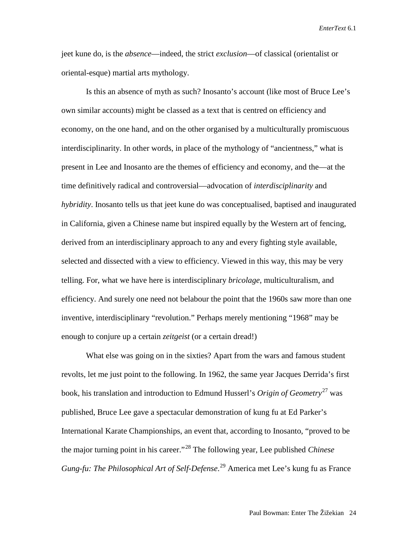jeet kune do, is the *absence*—indeed, the strict *exclusion*—of classical (orientalist or oriental-esque) martial arts mythology.

Is this an absence of myth as such? Inosanto's account (like most of Bruce Lee's own similar accounts) might be classed as a text that is centred on efficiency and economy, on the one hand, and on the other organised by a multiculturally promiscuous interdisciplinarity. In other words, in place of the mythology of "ancientness," what is present in Lee and Inosanto are the themes of efficiency and economy, and the—at the time definitively radical and controversial—advocation of *interdisciplinarity* and *hybridity*. Inosanto tells us that jeet kune do was conceptualised, baptised and inaugurated in California, given a Chinese name but inspired equally by the Western art of fencing, derived from an interdisciplinary approach to any and every fighting style available, selected and dissected with a view to efficiency. Viewed in this way, this may be very telling. For, what we have here is interdisciplinary *bricolage*, multiculturalism, and efficiency. And surely one need not belabour the point that the 1960s saw more than one inventive, interdisciplinary "revolution." Perhaps merely mentioning "1968" may be enough to conjure up a certain *zeitgeist* (or a certain dread!)

What else was going on in the sixties? Apart from the wars and famous student revolts, let me just point to the following. In 1962, the same year Jacques Derrida's first book, his translation and introduction to Edmund Husserl's *Origin of Geometry*[27](#page-28-21) was published, Bruce Lee gave a spectacular demonstration of kung fu at Ed Parker's International Karate Championships, an event that, according to Inosanto, "proved to be the major turning point in his career."[28](#page-28-22) The following year, Lee published *Chinese Gung-fu: The Philosophical Art of Self-Defense*. [29](#page-28-23) America met Lee's kung fu as France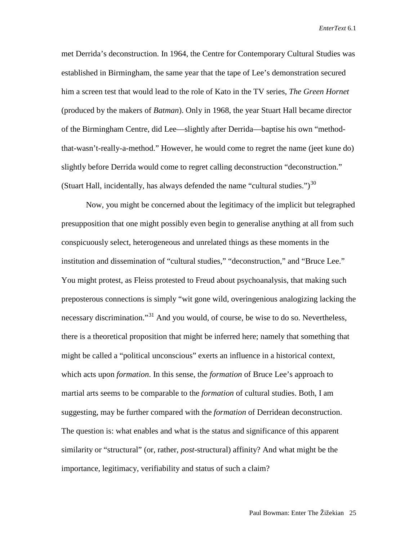met Derrida's deconstruction. In 1964, the Centre for Contemporary Cultural Studies was established in Birmingham, the same year that the tape of Lee's demonstration secured him a screen test that would lead to the role of Kato in the TV series, *The Green Hornet* (produced by the makers of *Batman*). Only in 1968, the year Stuart Hall became director of the Birmingham Centre, did Lee—slightly after Derrida—baptise his own "methodthat-wasn't-really-a-method." However, he would come to regret the name (jeet kune do) slightly before Derrida would come to regret calling deconstruction "deconstruction." (Stuart Hall, incidentally, has always defended the name "cultural studies.")<sup>[30](#page-28-24)</sup>

Now, you might be concerned about the legitimacy of the implicit but telegraphed presupposition that one might possibly even begin to generalise anything at all from such conspicuously select, heterogeneous and unrelated things as these moments in the institution and dissemination of "cultural studies," "deconstruction," and "Bruce Lee." You might protest, as Fleiss protested to Freud about psychoanalysis, that making such preposterous connections is simply "wit gone wild, overingenious analogizing lacking the necessary discrimination."<sup>[31](#page-28-3)</sup> And you would, of course, be wise to do so. Nevertheless, there is a theoretical proposition that might be inferred here; namely that something that might be called a "political unconscious" exerts an influence in a historical context, which acts upon *formation*. In this sense, the *formation* of Bruce Lee's approach to martial arts seems to be comparable to the *formation* of cultural studies. Both, I am suggesting, may be further compared with the *formation* of Derridean deconstruction. The question is: what enables and what is the status and significance of this apparent similarity or "structural" (or, rather, *post*-structural) affinity? And what might be the importance, legitimacy, verifiability and status of such a claim?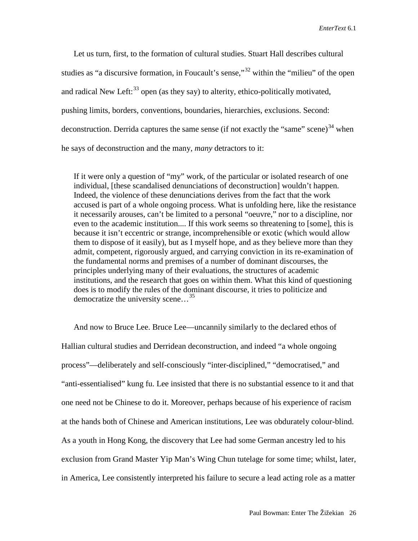Let us turn, first, to the formation of cultural studies. Stuart Hall describes cultural studies as "a discursive formation, in Foucault's sense,"<sup>[32](#page-28-25)</sup> within the "milieu" of the open and radical New Left:  $33$  open (as they say) to alterity, ethico-politically motivated, pushing limits, borders, conventions, boundaries, hierarchies, exclusions. Second: deconstruction. Derrida captures the same sense (if not exactly the "same" scene)<sup>[34](#page-28-26)</sup> when he says of deconstruction and the many, *many* detractors to it:

If it were only a question of "my" work, of the particular or isolated research of one individual, [these scandalised denunciations of deconstruction] wouldn't happen. Indeed, the violence of these denunciations derives from the fact that the work accused is part of a whole ongoing process. What is unfolding here, like the resistance it necessarily arouses, can't be limited to a personal "oeuvre," nor to a discipline, nor even to the academic institution.... If this work seems so threatening to [some], this is because it isn't eccentric or strange, incomprehensible or exotic (which would allow them to dispose of it easily), but as I myself hope, and as they believe more than they admit, competent, rigorously argued, and carrying conviction in its re-examination of the fundamental norms and premises of a number of dominant discourses, the principles underlying many of their evaluations, the structures of academic institutions, and the research that goes on within them. What this kind of questioning does is to modify the rules of the dominant discourse, it tries to politicize and democratize the university scene...<sup>[35](#page-28-9)</sup>

And now to Bruce Lee. Bruce Lee—uncannily similarly to the declared ethos of Hallian cultural studies and Derridean deconstruction, and indeed "a whole ongoing process"—deliberately and self-consciously "inter-disciplined," "democratised," and "anti-essentialised" kung fu. Lee insisted that there is no substantial essence to it and that one need not be Chinese to do it. Moreover, perhaps because of his experience of racism at the hands both of Chinese and American institutions, Lee was obdurately colour-blind. As a youth in Hong Kong, the discovery that Lee had some German ancestry led to his exclusion from Grand Master Yip Man's Wing Chun tutelage for some time; whilst, later, in America, Lee consistently interpreted his failure to secure a lead acting role as a matter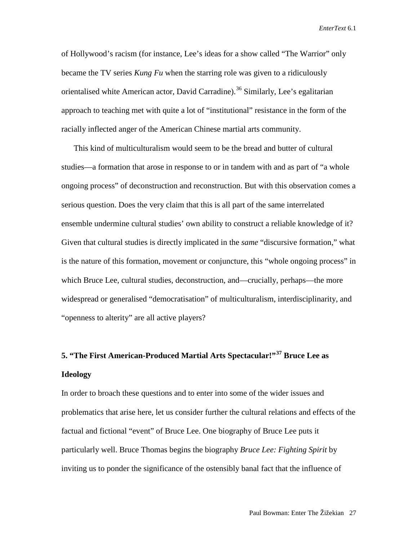of Hollywood's racism (for instance, Lee's ideas for a show called "The Warrior" only became the TV series *Kung Fu* when the starring role was given to a ridiculously orientalised white American actor, David Carradine).<sup>[36](#page-28-27)</sup> Similarly, Lee's egalitarian approach to teaching met with quite a lot of "institutional" resistance in the form of the racially inflected anger of the American Chinese martial arts community.

This kind of multiculturalism would seem to be the bread and butter of cultural studies—a formation that arose in response to or in tandem with and as part of "a whole ongoing process" of deconstruction and reconstruction. But with this observation comes a serious question. Does the very claim that this is all part of the same interrelated ensemble undermine cultural studies' own ability to construct a reliable knowledge of it? Given that cultural studies is directly implicated in the *same* "discursive formation," what is the nature of this formation, movement or conjuncture, this "whole ongoing process" in which Bruce Lee, cultural studies, deconstruction, and—crucially, perhaps—the more widespread or generalised "democratisation" of multiculturalism, interdisciplinarity, and "openness to alterity" are all active players?

# **5. "The First American-Produced Martial Arts Spectacular!"[37](#page-28-28) Bruce Lee as Ideology**

In order to broach these questions and to enter into some of the wider issues and problematics that arise here, let us consider further the cultural relations and effects of the factual and fictional "event" of Bruce Lee. One biography of Bruce Lee puts it particularly well. Bruce Thomas begins the biography *Bruce Lee: Fighting Spirit* by inviting us to ponder the significance of the ostensibly banal fact that the influence of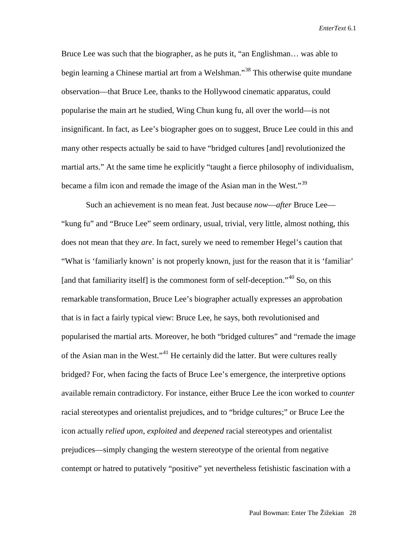Bruce Lee was such that the biographer, as he puts it, "an Englishman… was able to begin learning a Chinese martial art from a Welshman."<sup>[38](#page-28-11)</sup> This otherwise quite mundane observation—that Bruce Lee, thanks to the Hollywood cinematic apparatus, could popularise the main art he studied, Wing Chun kung fu, all over the world—is not insignificant. In fact, as Lee's biographer goes on to suggest, Bruce Lee could in this and many other respects actually be said to have "bridged cultures [and] revolutionized the martial arts." At the same time he explicitly "taught a fierce philosophy of individualism, became a film icon and remade the image of the Asian man in the West."[39](#page-28-29)

Such an achievement is no mean feat. Just because *now*—*after* Bruce Lee— "kung fu" and "Bruce Lee" seem ordinary, usual, trivial, very little, almost nothing, this does not mean that they *are*. In fact, surely we need to remember Hegel's caution that "What is 'familiarly known' is not properly known, just for the reason that it is 'familiar' [and that familiarity itself] is the commonest form of self-deception."<sup>[40](#page-28-30)</sup> So, on this remarkable transformation, Bruce Lee's biographer actually expresses an approbation that is in fact a fairly typical view: Bruce Lee, he says, both revolutionised and popularised the martial arts. Moreover, he both "bridged cultures" and "remade the image of the Asian man in the West."<sup>[41](#page-28-12)</sup> He certainly did the latter. But were cultures really bridged? For, when facing the facts of Bruce Lee's emergence, the interpretive options available remain contradictory. For instance, either Bruce Lee the icon worked to *counter* racial stereotypes and orientalist prejudices, and to "bridge cultures;" or Bruce Lee the icon actually *relied upon*, *exploited* and *deepened* racial stereotypes and orientalist prejudices—simply changing the western stereotype of the oriental from negative contempt or hatred to putatively "positive" yet nevertheless fetishistic fascination with a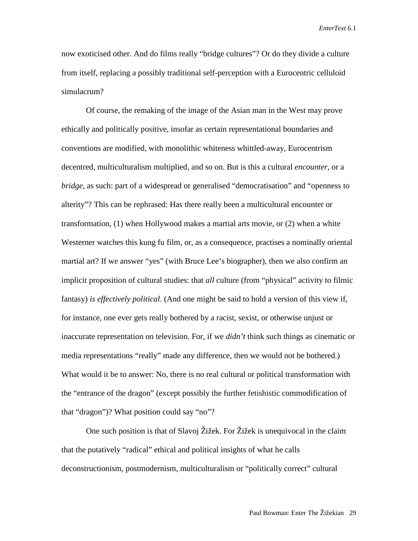now exoticised other. And do films really "bridge cultures"? Or do they divide a culture from itself, replacing a possibly traditional self-perception with a Eurocentric celluloid simulacrum?

Of course, the remaking of the image of the Asian man in the West may prove ethically and politically positive, insofar as certain representational boundaries and conventions are modified, with monolithic whiteness whittled-away, Eurocentrism decentred, multiculturalism multiplied, and so on. But is this a cultural *encounter*, or a *bridge*, as such: part of a widespread or generalised "democratisation" and "openness to alterity"? This can be rephrased: Has there really been a multicultural encounter or transformation, (1) when Hollywood makes a martial arts movie, or (2) when a white Westerner watches this kung fu film, or, as a consequence, practises a nominally oriental martial art? If we answer "yes" (with Bruce Lee's biographer), then we also confirm an implicit proposition of cultural studies: that *all* culture (from "physical" activity to filmic fantasy) *is effectively political*. (And one might be said to hold a version of this view if, for instance, one ever gets really bothered by a racist, sexist, or otherwise unjust or inaccurate representation on television. For, if we *didn't* think such things as cinematic or media representations "really" made any difference, then we would not be bothered.) What would it be to answer: No, there is no real cultural or political transformation with the "entrance of the dragon" (except possibly the further fetishistic commodification of that "dragon")? What position could say "no"?

One such position is that of Slavoj Žižek. For Žižek is unequivocal in the claim that the putatively "radical" ethical and political insights of what he calls deconstructionism, postmodernism, multiculturalism or "politically correct" cultural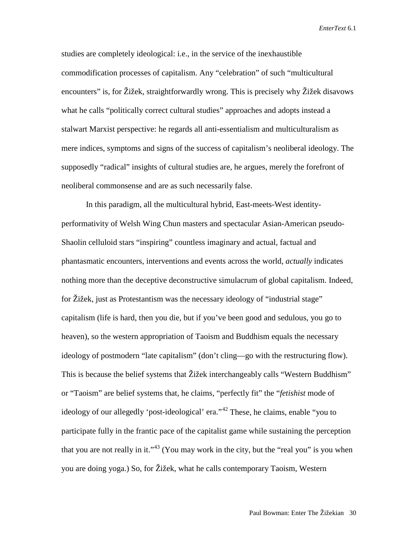studies are completely ideological: i.e., in the service of the inexhaustible commodification processes of capitalism. Any "celebration" of such "multicultural encounters" is, for Žižek, straightforwardly wrong. This is precisely why Žižek disavows what he calls "politically correct cultural studies" approaches and adopts instead a stalwart Marxist perspective: he regards all anti-essentialism and multiculturalism as mere indices, symptoms and signs of the success of capitalism's neoliberal ideology. The supposedly "radical" insights of cultural studies are, he argues, merely the forefront of neoliberal commonsense and are as such necessarily false.

In this paradigm, all the multicultural hybrid, East-meets-West identityperformativity of Welsh Wing Chun masters and spectacular Asian-American pseudo-Shaolin celluloid stars "inspiring" countless imaginary and actual, factual and phantasmatic encounters, interventions and events across the world, *actually* indicates nothing more than the deceptive deconstructive simulacrum of global capitalism. Indeed, for Žižek, just as Protestantism was the necessary ideology of "industrial stage" capitalism (life is hard, then you die, but if you've been good and sedulous, you go to heaven), so the western appropriation of Taoism and Buddhism equals the necessary ideology of postmodern "late capitalism" (don't cling—go with the restructuring flow). This is because the belief systems that Žižek interchangeably calls "Western Buddhism" or "Taoism" are belief systems that, he claims, "perfectly fit" the "*fetishist* mode of ideology of our allegedly 'post-ideological' era."<sup>[42](#page-28-31)</sup> These, he claims, enable "you to participate fully in the frantic pace of the capitalist game while sustaining the perception that you are not really in it."<sup>[43](#page-28-32)</sup> (You may work in the city, but the "real you" is you when you are doing yoga.) So, for Žižek, what he calls contemporary Taoism, Western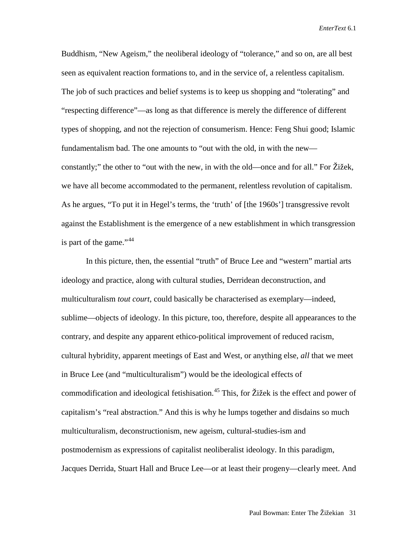Buddhism, "New Ageism," the neoliberal ideology of "tolerance," and so on, are all best seen as equivalent reaction formations to, and in the service of, a relentless capitalism. The job of such practices and belief systems is to keep us shopping and "tolerating" and "respecting difference"—as long as that difference is merely the difference of different types of shopping, and not the rejection of consumerism. Hence: Feng Shui good; Islamic fundamentalism bad. The one amounts to "out with the old, in with the new constantly;" the other to "out with the new, in with the old—once and for all." For Žižek, we have all become accommodated to the permanent, relentless revolution of capitalism. As he argues, "To put it in Hegel's terms, the 'truth' of [the 1960s'] transgressive revolt against the Establishment is the emergence of a new establishment in which transgression is part of the game."<sup>[44](#page-28-33)</sup>

In this picture, then, the essential "truth" of Bruce Lee and "western" martial arts ideology and practice, along with cultural studies, Derridean deconstruction, and multiculturalism *tout court*, could basically be characterised as exemplary—indeed, sublime—objects of ideology. In this picture, too, therefore, despite all appearances to the contrary, and despite any apparent ethico-political improvement of reduced racism, cultural hybridity, apparent meetings of East and West, or anything else, *all* that we meet in Bruce Lee (and "multiculturalism") would be the ideological effects of commodification and ideological fetishisation.<sup>[45](#page-28-34)</sup> This, for Žižek is the effect and power of capitalism's "real abstraction." And this is why he lumps together and disdains so much multiculturalism, deconstructionism, new ageism, cultural-studies-ism and postmodernism as expressions of capitalist neoliberalist ideology. In this paradigm, Jacques Derrida, Stuart Hall and Bruce Lee—or at least their progeny—clearly meet. And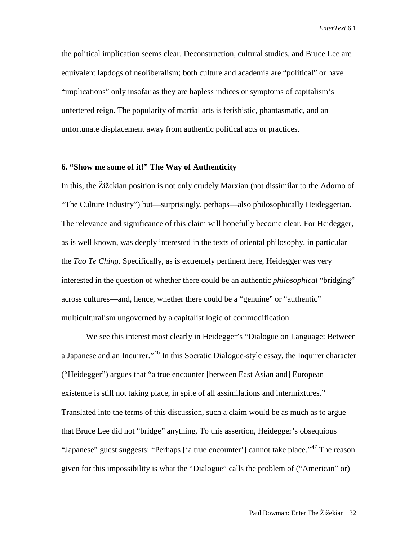the political implication seems clear. Deconstruction, cultural studies, and Bruce Lee are equivalent lapdogs of neoliberalism; both culture and academia are "political" or have "implications" only insofar as they are hapless indices or symptoms of capitalism's unfettered reign. The popularity of martial arts is fetishistic, phantasmatic, and an unfortunate displacement away from authentic political acts or practices.

### **6. "Show me some of it!" The Way of Authenticity**

In this, the Žižekian position is not only crudely Marxian (not dissimilar to the Adorno of "The Culture Industry") but—surprisingly, perhaps—also philosophically Heideggerian. The relevance and significance of this claim will hopefully become clear. For Heidegger, as is well known, was deeply interested in the texts of oriental philosophy, in particular the *Tao Te Ching*. Specifically, as is extremely pertinent here, Heidegger was very interested in the question of whether there could be an authentic *philosophical* "bridging" across cultures—and, hence, whether there could be a "genuine" or "authentic" multiculturalism ungoverned by a capitalist logic of commodification.

We see this interest most clearly in Heidegger's "Dialogue on Language: Between a Japanese and an Inquirer."[46](#page-28-35) In this Socratic Dialogue-style essay, the Inquirer character ("Heidegger") argues that "a true encounter [between East Asian and] European existence is still not taking place, in spite of all assimilations and intermixtures." Translated into the terms of this discussion, such a claim would be as much as to argue that Bruce Lee did not "bridge" anything. To this assertion, Heidegger's obsequious "Japanese" guest suggests: "Perhaps ['a true encounter'] cannot take place."<sup>[47](#page-28-36)</sup> The reason given for this impossibility is what the "Dialogue" calls the problem of ("American" or)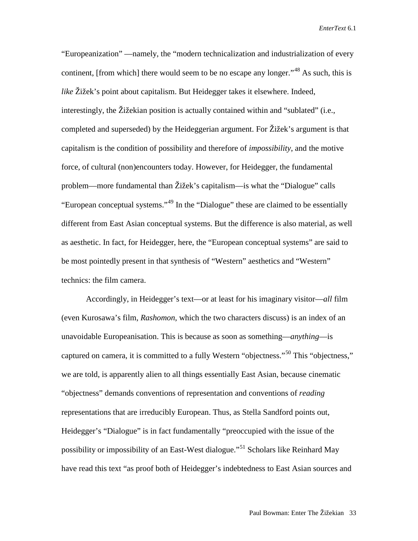"Europeanization" —namely, the "modern technicalization and industrialization of every continent, [from which] there would seem to be no escape any longer."<sup>[48](#page-28-37)</sup> As such, this is *like* Žižek's point about capitalism. But Heidegger takes it elsewhere. Indeed, interestingly, the Žižekian position is actually contained within and "sublated" (i.e., completed and superseded) by the Heideggerian argument. For Žižek's argument is that capitalism is the condition of possibility and therefore of *impossibility*, and the motive force, of cultural (non)encounters today. However, for Heidegger, the fundamental problem—more fundamental than Žižek's capitalism—is what the "Dialogue" calls "European conceptual systems."[49](#page-28-38) In the "Dialogue" these are claimed to be essentially different from East Asian conceptual systems. But the difference is also material, as well as aesthetic. In fact, for Heidegger, here, the "European conceptual systems" are said to be most pointedly present in that synthesis of "Western" aesthetics and "Western" technics: the film camera.

Accordingly, in Heidegger's text—or at least for his imaginary visitor—*all* film (even Kurosawa's film, *Rashomon*, which the two characters discuss) is an index of an unavoidable Europeanisation. This is because as soon as something—*anything*—is captured on camera, it is committed to a fully Western "objectness."[50](#page-28-39) This "objectness," we are told, is apparently alien to all things essentially East Asian, because cinematic "objectness" demands conventions of representation and conventions of *reading* representations that are irreducibly European. Thus, as Stella Sandford points out, Heidegger's "Dialogue" is in fact fundamentally "preoccupied with the issue of the possibility or impossibility of an East-West dialogue."[51](#page-28-40) Scholars like Reinhard May have read this text "as proof both of Heidegger's indebtedness to East Asian sources and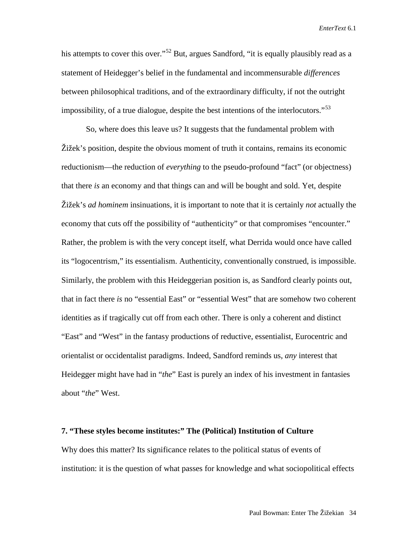his attempts to cover this over."<sup>[52](#page-28-41)</sup> But, argues Sandford, "it is equally plausibly read as a statement of Heidegger's belief in the fundamental and incommensurable *differences*  between philosophical traditions, and of the extraordinary difficulty, if not the outright impossibility, of a true dialogue, despite the best intentions of the interlocutors.<sup> $53$ </sup>

So, where does this leave us? It suggests that the fundamental problem with Žižek's position, despite the obvious moment of truth it contains, remains its economic reductionism—the reduction of *everything* to the pseudo-profound "fact" (or objectness) that there *is* an economy and that things can and will be bought and sold. Yet, despite Žižek's *ad hominem* insinuations, it is important to note that it is certainly *not* actually the economy that cuts off the possibility of "authenticity" or that compromises "encounter." Rather, the problem is with the very concept itself, what Derrida would once have called its "logocentrism," its essentialism. Authenticity, conventionally construed, is impossible. Similarly, the problem with this Heideggerian position is, as Sandford clearly points out, that in fact there *is* no "essential East" or "essential West" that are somehow two coherent identities as if tragically cut off from each other. There is only a coherent and distinct "East" and "West" in the fantasy productions of reductive, essentialist, Eurocentric and orientalist or occidentalist paradigms. Indeed, Sandford reminds us, *any* interest that Heidegger might have had in "*the*" East is purely an index of his investment in fantasies about "*the*" West.

#### **7. "These styles become institutes:" The (Political) Institution of Culture**

Why does this matter? Its significance relates to the political status of events of institution: it is the question of what passes for knowledge and what sociopolitical effects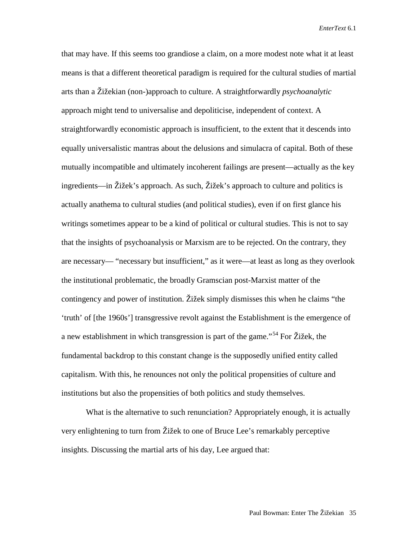that may have. If this seems too grandiose a claim, on a more modest note what it at least means is that a different theoretical paradigm is required for the cultural studies of martial arts than a Žižekian (non-)approach to culture. A straightforwardly *psychoanalytic* approach might tend to universalise and depoliticise, independent of context. A straightforwardly economistic approach is insufficient, to the extent that it descends into equally universalistic mantras about the delusions and simulacra of capital. Both of these mutually incompatible and ultimately incoherent failings are present—actually as the key ingredients—in Žižek's approach. As such, Žižek's approach to culture and politics is actually anathema to cultural studies (and political studies), even if on first glance his writings sometimes appear to be a kind of political or cultural studies. This is not to say that the insights of psychoanalysis or Marxism are to be rejected. On the contrary, they are necessary— "necessary but insufficient," as it were—at least as long as they overlook the institutional problematic, the broadly Gramscian post-Marxist matter of the contingency and power of institution. Žižek simply dismisses this when he claims "the 'truth' of [the 1960s'] transgressive revolt against the Establishment is the emergence of a new establishment in which transgression is part of the game."[54](#page-28-43) For Žižek, the fundamental backdrop to this constant change is the supposedly unified entity called capitalism. With this, he renounces not only the political propensities of culture and institutions but also the propensities of both politics and study themselves.

What is the alternative to such renunciation? Appropriately enough, it is actually very enlightening to turn from Žižek to one of Bruce Lee's remarkably perceptive insights. Discussing the martial arts of his day, Lee argued that: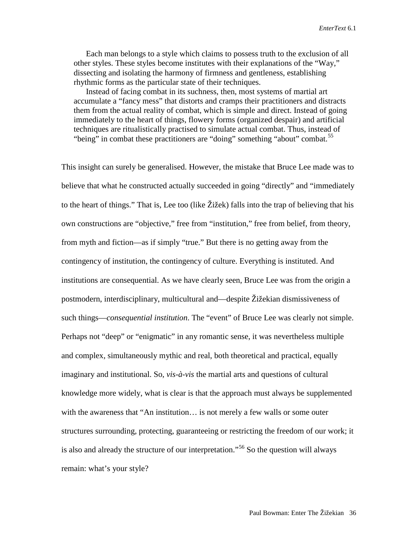Each man belongs to a style which claims to possess truth to the exclusion of all other styles. These styles become institutes with their explanations of the "Way," dissecting and isolating the harmony of firmness and gentleness, establishing rhythmic forms as the particular state of their techniques.

Instead of facing combat in its suchness, then, most systems of martial art accumulate a "fancy mess" that distorts and cramps their practitioners and distracts them from the actual reality of combat, which is simple and direct. Instead of going immediately to the heart of things, flowery forms (organized despair) and artificial techniques are ritualistically practised to simulate actual combat. Thus, instead of "being" in combat these practitioners are "doing" something "about" combat.<sup>[55](#page-28-44)</sup>

This insight can surely be generalised. However, the mistake that Bruce Lee made was to believe that what he constructed actually succeeded in going "directly" and "immediately to the heart of things." That is, Lee too (like Žižek) falls into the trap of believing that his own constructions are "objective," free from "institution," free from belief, from theory, from myth and fiction—as if simply "true." But there is no getting away from the contingency of institution, the contingency of culture. Everything is instituted. And institutions are consequential. As we have clearly seen, Bruce Lee was from the origin a postmodern, interdisciplinary, multicultural and—despite Žižekian dismissiveness of such things—*consequential institution*. The "event" of Bruce Lee was clearly not simple. Perhaps not "deep" or "enigmatic" in any romantic sense, it was nevertheless multiple and complex, simultaneously mythic and real, both theoretical and practical, equally imaginary and institutional. So, *vis-à-vis* the martial arts and questions of cultural knowledge more widely, what is clear is that the approach must always be supplemented with the awareness that "An institution… is not merely a few walls or some outer structures surrounding, protecting, guaranteeing or restricting the freedom of our work; it is also and already the structure of our interpretation."[56](#page-28-45) So the question will always remain: what's your style?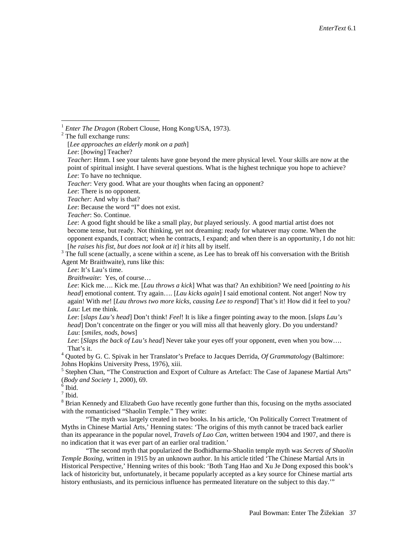*Lee*: It's Lau's time.

*Braithwaite*: Yes, of course…

*Lee*: Kick me…. Kick me. [*Lau throws a kick*] What was that? An exhibition? We need [*pointing to his head*] emotional content. Try again…. [*Lau kicks again*] I said emotional content. Not anger! Now try again! With *me*! [*Lau throws two more kicks, causing Lee to respond*] That's it! How did it feel to you? *Lau*: Let me think.

*Lee*: [*slaps Lau's head*] Don't think! *Feel*! It is like a finger pointing away to the moon. [*slaps Lau's head*] Don't concentrate on the finger or you will miss all that heavenly glory. Do you understand? *Lau*: [*smiles, nods, bows*]

*Lee*: [*Slaps the back of Lau's head*] Never take your eyes off your opponent, even when you bow….

That's it. <sup>4</sup> Quoted by G. C. Spivak in her Translator's Preface to Jacques Derrida, *Of Grammatology* (Baltimore:

Johns Hopkins University Press, 1976), xiii.<br><sup>5</sup> Stephen Chan, "The Construction and Export of Culture as Artefact: The Case of Japanese Martial Arts" (*Body and Society* 1, 2000), 69.<br>
<sup>6</sup> Ibid.<br>
<sup>7</sup> Ibid. <sup>8</sup> Brian Kennedy and Elizabeth Guo have recently gone further than this, focusing on the myths associated <br>
<sup>8</sup> Brian Kennedy and Elizabeth Guo have recently gone f

with the romanticised "Shaolin Temple." They write:

"The myth was largely created in two books. In his article, 'On Politically Correct Treatment of Myths in Chinese Martial Arts,' Henning states: 'The origins of this myth cannot be traced back earlier than its appearance in the popular novel, *Travels of Lao Can*, written between 1904 and 1907, and there is no indication that it was ever part of an earlier oral tradition.'

"The second myth that popularized the Bodhidharma-Shaolin temple myth was *Secrets of Shaolin Temple Boxing*, written in 1915 by an unknown author. In his article titled 'The Chinese Martial Arts in Historical Perspective,' Henning writes of this book: 'Both Tang Hao and Xu Je Dong exposed this book's lack of historicity but, unfortunately, it became popularly accepted as a key source for Chinese martial arts history enthusiasts, and its pernicious influence has permeated literature on the subject to this day.'"

<span id="page-26-1"></span><span id="page-26-0"></span><sup>&</sup>lt;sup>1</sup> *Enter The Dragon* (Robert Clouse, Hong Kong/USA, 1973).<sup>2</sup> The full exchange runs:

<sup>[</sup>*Lee approaches an elderly monk on a path*]

*Lee*: [*bowing*] Teacher?

*Teacher*: Hmm. I see your talents have gone beyond the mere physical level. Your skills are now at the point of spiritual insight. I have several questions. What is the highest technique you hope to achieve? *Lee*: To have no technique.

*Teacher*: Very good. What are your thoughts when facing an opponent?

*Lee*: There is no opponent.

*Teacher*: And why is that?

*Lee*: Because the word "I" does not exist.

*Teacher*: So. Continue.

*Lee*: A good fight should be like a small play, *but* played seriously. A good martial artist does not become tense, but ready. Not thinking, yet not dreaming: ready for whatever may come. When the opponent expands, I contract; when he contracts, I expand; and when there is an opportunity, I do not hit: *Ihe raises his fist, but does not look at it] it* hits all by itself.<br>The full scene (actually, a scene within a scene, as Lee has to break off his conversation with the British

<span id="page-26-2"></span>Agent Mr Braithwaite), runs like this: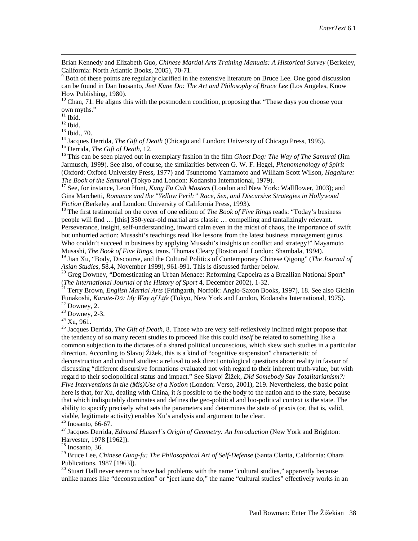Brian Kennedy and Elizabeth Guo, *Chinese Martial Arts Training Manuals: A Historical Survey* (Berkeley, California: North Atlantic Books, 2005), 70-71.<br><sup>9</sup> Both of these points are regularly clarified in the extensive literature on Bruce Lee. One good discussion

can be found in Dan Inosanto, *Jeet Kune Do: The Art and Philosophy of Bruce Lee* (Los Angeles, Know How Publishing, 1980).

 $10$  Chan, 71. He aligns this with the postmodern condition, proposing that "These days you choose your own myths."<br><sup>11</sup> Ibid.

 $\overline{a}$ 

<sup>12</sup> Ibid., 70.<br><sup>13</sup> Ibid., 70.<br><sup>14</sup> Jacques Derrida, *The Gift of Death* (Chicago and London: University of Chicago Press, 1995).<br><sup>15</sup> Derrida, *The Gift of Death*, 12.<br><sup>16</sup> This can be seen played out in exemplary fashi Jarmusch, 1999). See also, of course, the similarities between G. W. F. Hegel, *Phenomenology of Spirit* (Oxford: Oxford University Press, 1977) and Tsunetomo Yamamoto and William Scott Wilson, *Hagakure:* 

<sup>17</sup> See, for instance, Leon Hunt, *Kung Fu Cult Masters* (London and New York: Wallflower, 2003); and Gina Marchetti, *Romance and the "Yellow Peril:" Race, Sex, and Discursive Strategies in Hollywood* 

<sup>18</sup> The first testimonial on the cover of one edition of *The Book of Five Rings* reads: "Today's business people will find … [this] 350-year-old martial arts classic … compelling and tantalizingly relevant. Perseverance, insight, self-understanding, inward calm even in the midst of chaos, the importance of swift but unhurried action: Musashi's teachings read like lessons from the latest business management gurus. Who couldn't succeed in business by applying Musashi's insights on conflict and strategy!" Mayamoto Musashi, *The Book of Five Rings*, trans. Thomas Cleary (Boston and London: Shambala, 1994).

<sup>19</sup> Jian Xu, "Body, Discourse, and the Cultural Politics of Contemporary Chinese Qigong" (*The Journal of Asian Studies*, 58.4, November 1999), 961-991. This is discussed further below.

*Asian Studies, 58.4, November 1999),* 1. Asian Menace: Reforming Capoeira as a Brazilian National Sport"<br>(*The International Journal of the History of Sport 4*, December 2002), 1-32.

<sup>21</sup> Terry Brown, *English Martial Arts* (Frithgarth, Norfolk: Anglo-Saxon Books, 1997), 18. See also Gichin<br>Funakoshi, *Karate-Dō: My Way of Life* (Tokyo, New York and London, Kodansha International, 1975).

<span id="page-27-1"></span><span id="page-27-0"></span>

<sup>22</sup> Downey, 2.<br>
<sup>23</sup> Downey, 2-3.<br>
<sup>24</sup> Xu, 961.<br>
<sup>25</sup> Jacques Derrida, *The Gift of Death*, 8. Those who are very self-reflexively inclined might propose that the tendency of so many recent studies to proceed like this could *itself* be related to something like a common subjection to the dictates of a shared political unconscious, which skew such studies in a particular direction. According to Slavoj Žižek, this is a kind of "cognitive suspension" characteristic of deconstruction and cultural studies: a refusal to ask direct ontological questions about reality in favour of discussing "different discursive formations evaluated not with regard to their inherent truth-value, but with regard to their sociopolitical status and impact." See Slavoj Žižek, *Did Somebody Say Totalitarianism?: Five Interventions in the (Mis)Use of a Notion* (London: Verso, 2001), 219. Nevertheless, the basic point here is that, for Xu, dealing with China, it *is* possible to tie the body to the nation and to the state, because that which indisputably dominates and defines the geo-political and bio-political context *is* the state. The ability to specify precisely what sets the parameters and determines the state of praxis (or, that is, valid, viable, legitimate activity) enables  $Xu$ 's analysis and argument to be clear.

<sup>26</sup> Inosanto, 66-67.<br><sup>27</sup> Jacques Derrida, *Edmund Husserl's Origin of Geometry: An Introduction* (New York and Brighton: Harvester, 1978 [1962]).

<sup>28</sup> Inosanto, 36.

<sup>29</sup> Bruce Lee, *Chinese Gung-fu: The Philosophical Art of Self-Defense* (Santa Clarita, California: Ohara Publications, 1987 [1963]).

 $30$  Stuart Hall never seems to have had problems with the name "cultural studies," apparently because unlike names like "deconstruction" or "jeet kune do," the name "cultural studies" effectively works in an